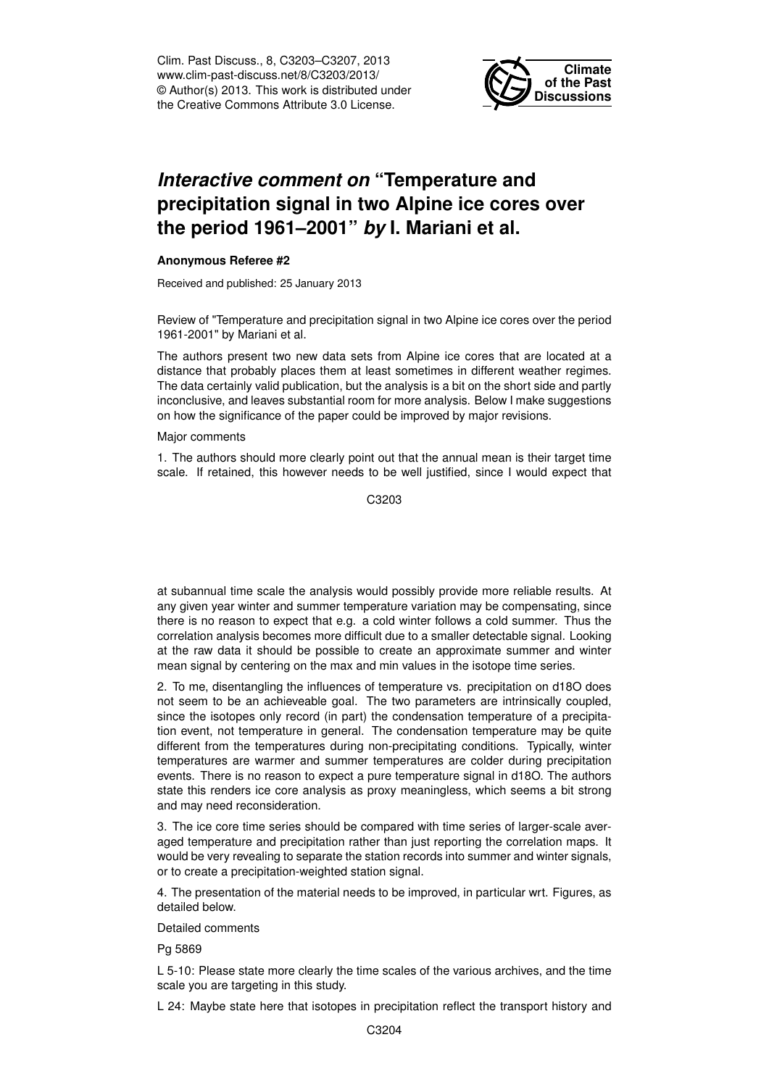Clim. Past Discuss., 8, C3203–C3207, 2013 www.clim-past-discuss.net/8/C3203/2013/ © Author(s) 2013. This work is distributed under the Creative Commons Attribute 3.0 License.



## *Interactive comment on* **"Temperature and precipitation signal in two Alpine ice cores over the period 1961–2001"** *by* **I. Mariani et al.**

## **Anonymous Referee #2**

Received and published: 25 January 2013

Review of "Temperature and precipitation signal in two Alpine ice cores over the period 1961-2001" by Mariani et al.

The authors present two new data sets from Alpine ice cores that are located at a distance that probably places them at least sometimes in different weather regimes. The data certainly valid publication, but the analysis is a bit on the short side and partly inconclusive, and leaves substantial room for more analysis. Below I make suggestions on how the significance of the paper could be improved by major revisions.

## Major comments

1. The authors should more clearly point out that the annual mean is their target time scale. If retained, this however needs to be well justified, since I would expect that

C3203

at subannual time scale the analysis would possibly provide more reliable results. At any given year winter and summer temperature variation may be compensating, since there is no reason to expect that e.g. a cold winter follows a cold summer. Thus the correlation analysis becomes more difficult due to a smaller detectable signal. Looking at the raw data it should be possible to create an approximate summer and winter mean signal by centering on the max and min values in the isotope time series.

2. To me, disentangling the influences of temperature vs. precipitation on d18O does not seem to be an achieveable goal. The two parameters are intrinsically coupled, since the isotopes only record (in part) the condensation temperature of a precipitation event, not temperature in general. The condensation temperature may be quite different from the temperatures during non-precipitating conditions. Typically, winter temperatures are warmer and summer temperatures are colder during precipitation events. There is no reason to expect a pure temperature signal in d18O. The authors state this renders ice core analysis as proxy meaningless, which seems a bit strong and may need reconsideration.

3. The ice core time series should be compared with time series of larger-scale averaged temperature and precipitation rather than just reporting the correlation maps. It would be very revealing to separate the station records into summer and winter signals, or to create a precipitation-weighted station signal.

4. The presentation of the material needs to be improved, in particular wrt. Figures, as detailed below.

Detailed comments

Pg 5869

L 5-10: Please state more clearly the time scales of the various archives, and the time scale you are targeting in this study.

L 24: Maybe state here that isotopes in precipitation reflect the transport history and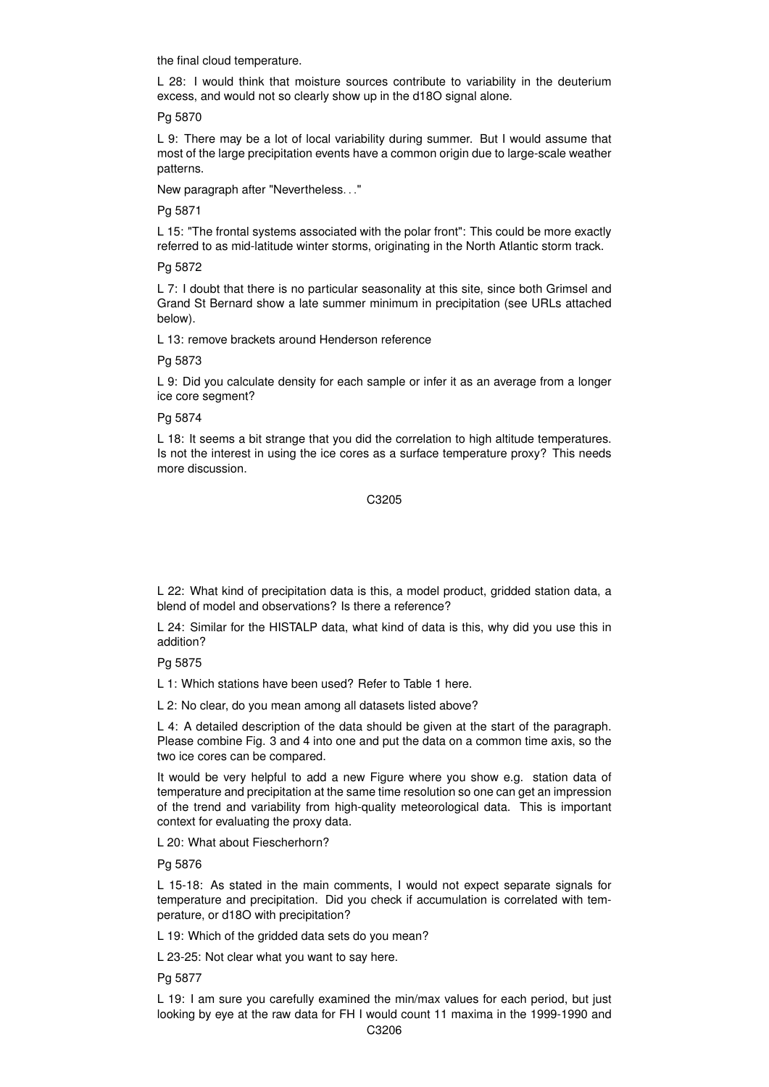the final cloud temperature.

L 28: I would think that moisture sources contribute to variability in the deuterium excess, and would not so clearly show up in the d18O signal alone.

Pg 5870

L 9: There may be a lot of local variability during summer. But I would assume that most of the large precipitation events have a common origin due to large-scale weather patterns.

New paragraph after "Nevertheless. . ."

Pg 5871

L 15: "The frontal systems associated with the polar front": This could be more exactly referred to as mid-latitude winter storms, originating in the North Atlantic storm track.

Pg 5872

L 7: I doubt that there is no particular seasonality at this site, since both Grimsel and Grand St Bernard show a late summer minimum in precipitation (see URLs attached below).

L 13: remove brackets around Henderson reference

Pg 5873

L 9: Did you calculate density for each sample or infer it as an average from a longer ice core segment?

Pg 5874

L 18: It seems a bit strange that you did the correlation to high altitude temperatures. Is not the interest in using the ice cores as a surface temperature proxy? This needs more discussion.

C3205

L 22: What kind of precipitation data is this, a model product, gridded station data, a blend of model and observations? Is there a reference?

L 24: Similar for the HISTALP data, what kind of data is this, why did you use this in addition?

Pg 5875

L 1: Which stations have been used? Refer to Table 1 here.

L 2: No clear, do you mean among all datasets listed above?

L 4: A detailed description of the data should be given at the start of the paragraph. Please combine Fig. 3 and 4 into one and put the data on a common time axis, so the two ice cores can be compared.

It would be very helpful to add a new Figure where you show e.g. station data of temperature and precipitation at the same time resolution so one can get an impression of the trend and variability from high-quality meteorological data. This is important context for evaluating the proxy data.

L 20: What about Fiescherhorn?

Pg 5876

L 15-18: As stated in the main comments, I would not expect separate signals for temperature and precipitation. Did you check if accumulation is correlated with temperature, or d18O with precipitation?

L 19: Which of the gridded data sets do you mean?

L 23-25: Not clear what you want to say here.

Pg 5877

L 19: I am sure you carefully examined the min/max values for each period, but just looking by eye at the raw data for FH I would count 11 maxima in the 1999-1990 and